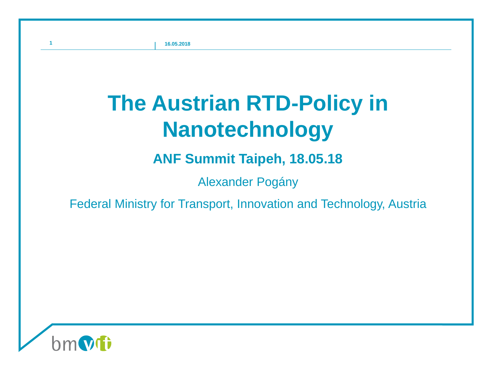# **The Austrian RTD-Policy in Nanotechnology**

# **ANF Summit Taipeh, 18.05.18**

Alexander Pogány

## Federal Ministry for Transport, Innovation and Technology, Austria

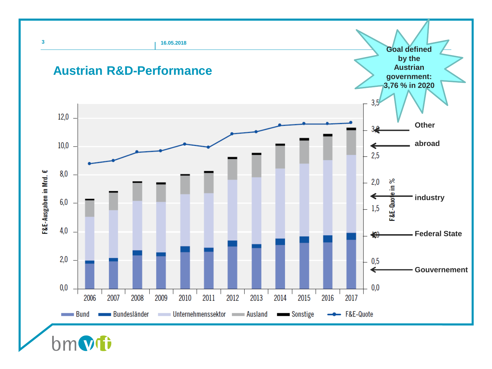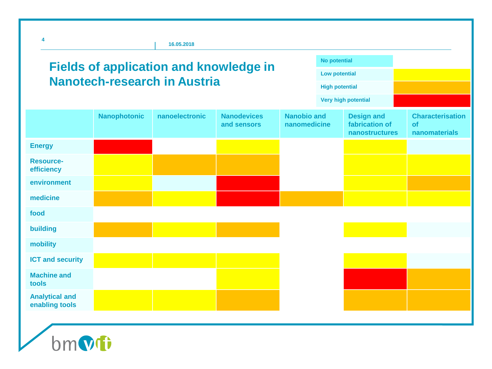| <b>Fields of application and knowledge in</b><br><b>Nanotech-research in Austria</b> |                     |                |                                   |                                    | <b>No potential</b><br><b>Low potential</b> |                                                       |                                                       |  |
|--------------------------------------------------------------------------------------|---------------------|----------------|-----------------------------------|------------------------------------|---------------------------------------------|-------------------------------------------------------|-------------------------------------------------------|--|
|                                                                                      |                     |                |                                   |                                    | <b>High potential</b>                       |                                                       |                                                       |  |
|                                                                                      |                     |                |                                   |                                    |                                             | <b>Very high potential</b>                            |                                                       |  |
|                                                                                      | <b>Nanophotonic</b> | nanoelectronic | <b>Nanodevices</b><br>and sensors | <b>Nanobio and</b><br>nanomedicine |                                             | <b>Design and</b><br>fabrication of<br>nanostructures | <b>Characterisation</b><br><b>of</b><br>nanomaterials |  |
| <b>Energy</b>                                                                        |                     |                |                                   |                                    |                                             |                                                       |                                                       |  |
| <b>Resource-</b><br>efficiency                                                       |                     |                |                                   |                                    |                                             |                                                       |                                                       |  |
| environment                                                                          |                     |                |                                   |                                    |                                             |                                                       |                                                       |  |
| medicine                                                                             |                     |                |                                   |                                    |                                             |                                                       |                                                       |  |
| food                                                                                 |                     |                |                                   |                                    |                                             |                                                       |                                                       |  |
| building                                                                             |                     |                |                                   |                                    |                                             |                                                       |                                                       |  |
| mobility                                                                             |                     |                |                                   |                                    |                                             |                                                       |                                                       |  |
| <b>ICT and security</b>                                                              |                     |                |                                   |                                    |                                             |                                                       |                                                       |  |
| <b>Machine and</b><br>tools                                                          |                     |                |                                   |                                    |                                             |                                                       |                                                       |  |
| <b>Analytical and</b><br>enabling tools                                              |                     |                |                                   |                                    |                                             |                                                       |                                                       |  |

Omvi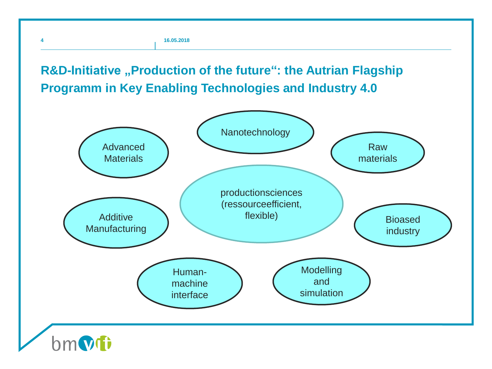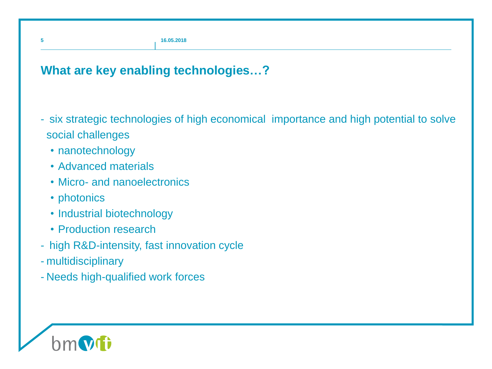#### **What are key enabling technologies…?**

- six strategic technologies of high economical importance and high potential to solve social challenges
	- nanotechnology
	- Advanced materials
	- Micro- and nanoelectronics
	- photonics
	- Industrial biotechnology
	- Production research
- high R&D-intensity, fast innovation cycle
- multidisciplinary
- Needs high-qualified work forces

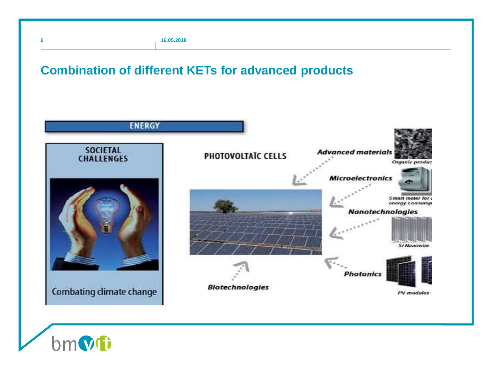**bmvti** 

#### **Combination of different KETs for advanced products**

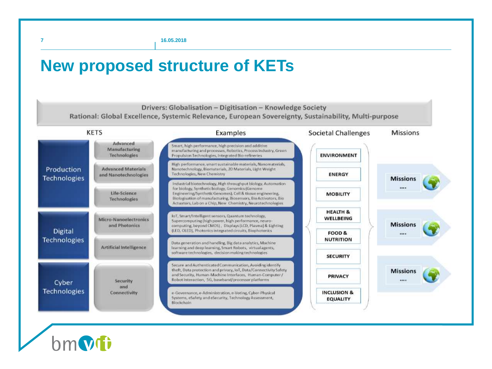**7 16.05.2018**

# **New proposed structure of KETs**

Drivers: Globalisation - Digitisation - Knowledge Society

Rational: Global Excellence, Systemic Relevance, European Sovereignty, Sustainability, Multi-purpose



 $h$ m $\Omega$ fi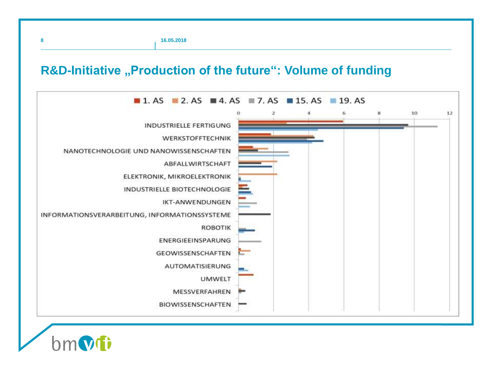#### **R&D-Initiative "Production of the future": Volume of funding**



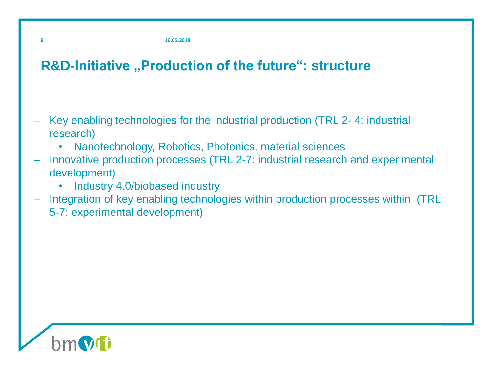## **R&D-Initiative "Production of the future": structure**

- Key enabling technologies for the industrial production (TRL 2-4: industrial research)
	- Nanotechnology, Robotics, Photonics, material sciences
- − Innovative production processes (TRL 2-7: industrial research and experimental development)
	- Industry 4.0/biobased industry
- Integration of key enabling technologies within production processes within (TRL 5-7: experimental development)

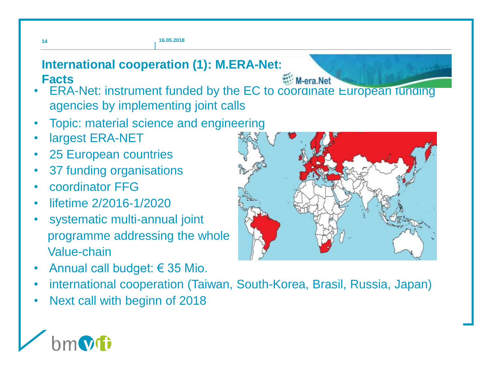# **International cooperation (1): M.ERA-Net:**

M-era Net

- ERA-Net: instrument funded by the EC to coordinate European funding agencies by implementing joint calls **Facts**
- Topic: material science and engineering
- largest ERA-NET
- 25 European countries
- 37 funding organisations
- coordinator FFG
- lifetime 2/2016-1/2020
- systematic multi-annual joint programme addressing the whole Value-chain
- Annual call budget:  $\epsilon$  35 Mio.
- international cooperation (Taiwan, South-Korea, Brasil, Russia, Japan)
- Next call with beginn of 2018



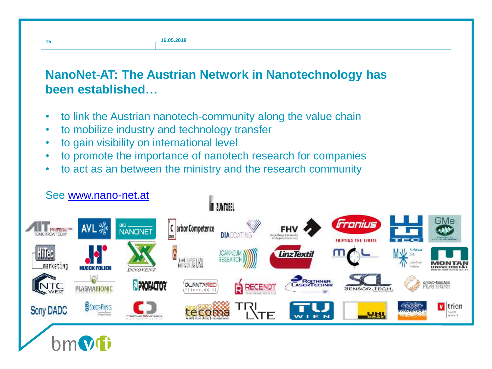### **NanoNet-AT: The Austrian Network in Nanotechnology has been established…**

- to link the Austrian nanotech-community along the value chain
- to mobilize industry and technology transfer
- to gain visibility on international level

**15**

- to promote the importance of nanotech research for companies
- to act as an between the ministry and the research community

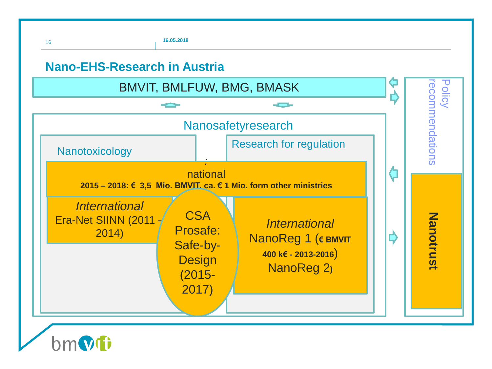

 $\mathsf{hm}$ MI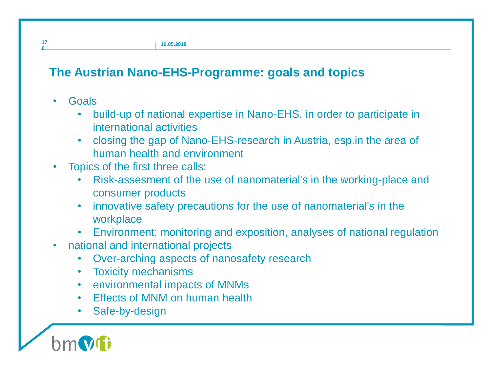## **The Austrian Nano-EHS-Programme: goals and topics**

- Goals
	- build-up of national expertise in Nano-EHS, in order to participate in international activities
	- closing the gap of Nano-EHS-research in Austria, esp.in the area of human health and environment
- Topics of the first three calls:
	- Risk-assesment of the use of nanomaterial's in the working-place and consumer products
	- innovative safety precautions for the use of nanomaterial's in the workplace
	- Environment: monitoring and exposition, analyses of national regulation
- national and international projects
	- Over-arching aspects of nanosafety research
	- Toxicity mechanisms
	- environmental impacts of MNMs
	- Effects of MNM on human health
	- Safe-by-design

**17 6**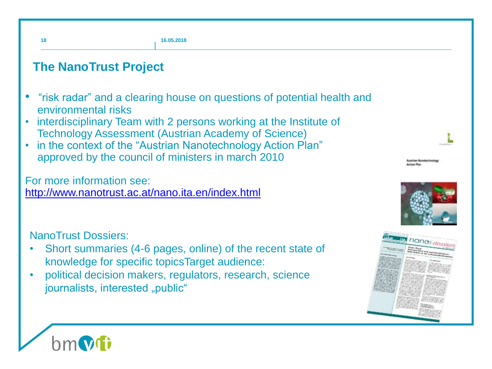

#### **The NanoTrust Project**

- "risk radar" and a clearing house on questions of potential health and environmental risks
- interdisciplinary Team with 2 persons working at the Institute of Technology Assessment (Austrian Academy of Science)
- in the context of the "Austrian Nanotechnology Action Plan" approved by the council of ministers in march 2010

For more information see: <http://www.nanotrust.ac.at/nano.ita.en/index.html>

NanoTrust Dossiers:

- Short summaries (4-6 pages, online) of the recent state of knowledge for specific topicsTarget audience:
- political decision makers, regulators, research, science journalists, interested "public"



*<u>ustrian Nanolastine</u>l* 

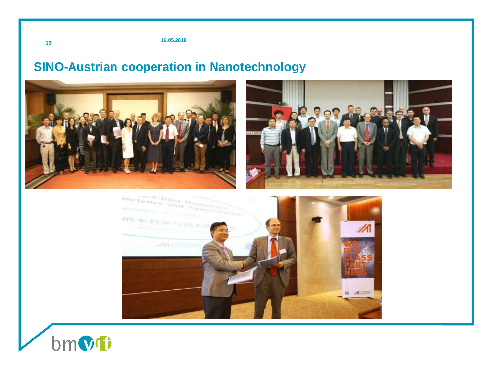## **SINO-Austrian cooperation in Nanotechnology**







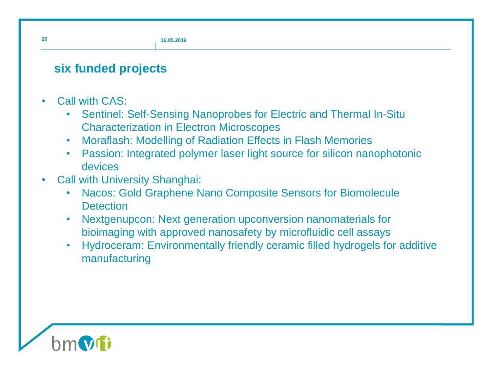#### **six funded projects**

- Call with CAS:
	- Sentinel: Self-Sensing Nanoprobes for Electric and Thermal In-Situ Characterization in Electron Microscopes
	- Moraflash: Modelling of Radiation Effects in Flash Memories
	- Passion: Integrated polymer laser light source for silicon nanophotonic devices
- Call with University Shanghai:
	- Nacos: Gold Graphene Nano Composite Sensors for Biomolecule **Detection**
	- Nextgenupcon: Next generation upconversion nanomaterials for bioimaging with approved nanosafety by microfluidic cell assays
	- Hydroceram: Environmentally friendly ceramic filled hydrogels for additive manufacturing



**20**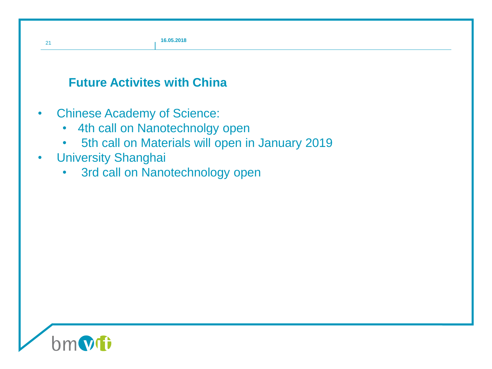#### **Future Activites with China**

- Chinese Academy of Science:
	- 4th call on Nanotechnolgy open
	- 5th call on Materials will open in January 2019
- University Shanghai

21

• 3rd call on Nanotechnology open

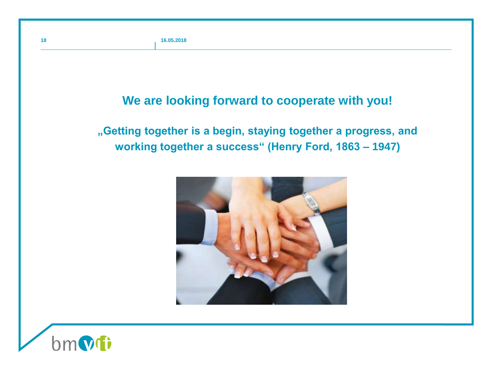#### **We are looking forward to cooperate with you!**

**"Getting together is a begin, staying together a progress, and working together a success" (Henry Ford, 1863 – 1947)**